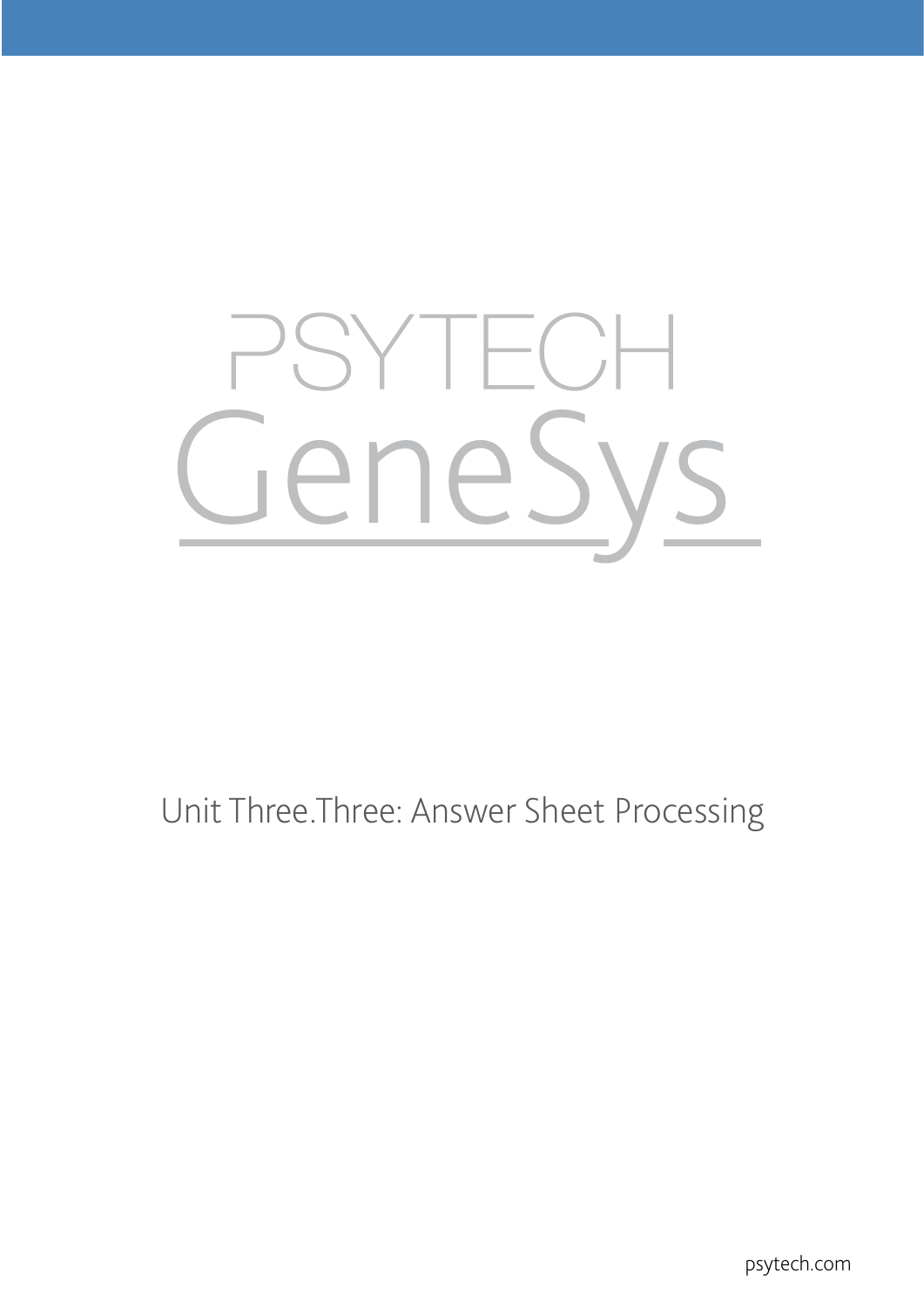# SYTECH<br>eneSy  $\mathsf{Y}$

## Unit Three.Three: Answer Sheet Processing

psytech.com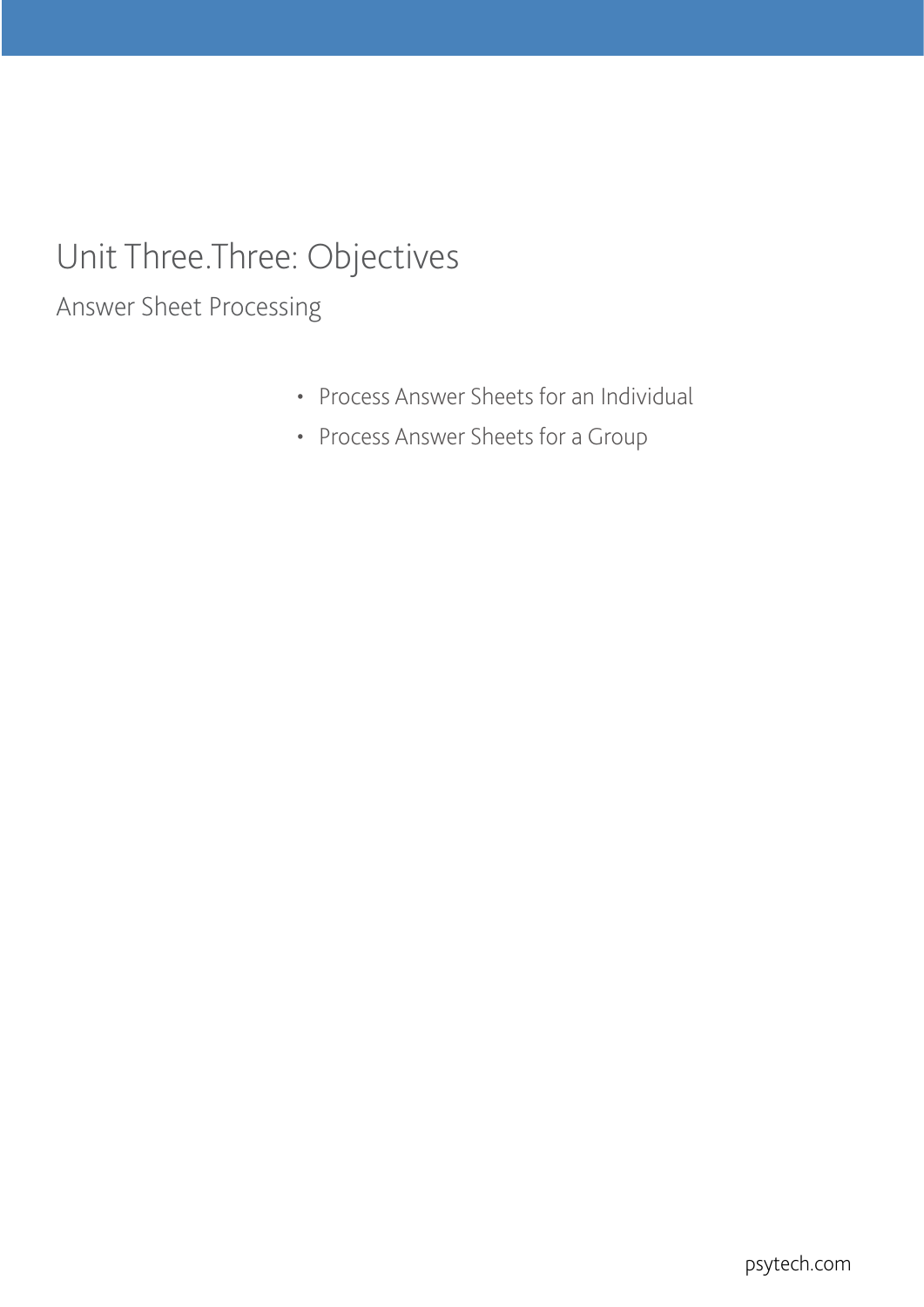## Unit Three.Three: Objectives

Answer Sheet Processing

- Process Answer Sheets for an Individual
- Process Answer Sheets for a Group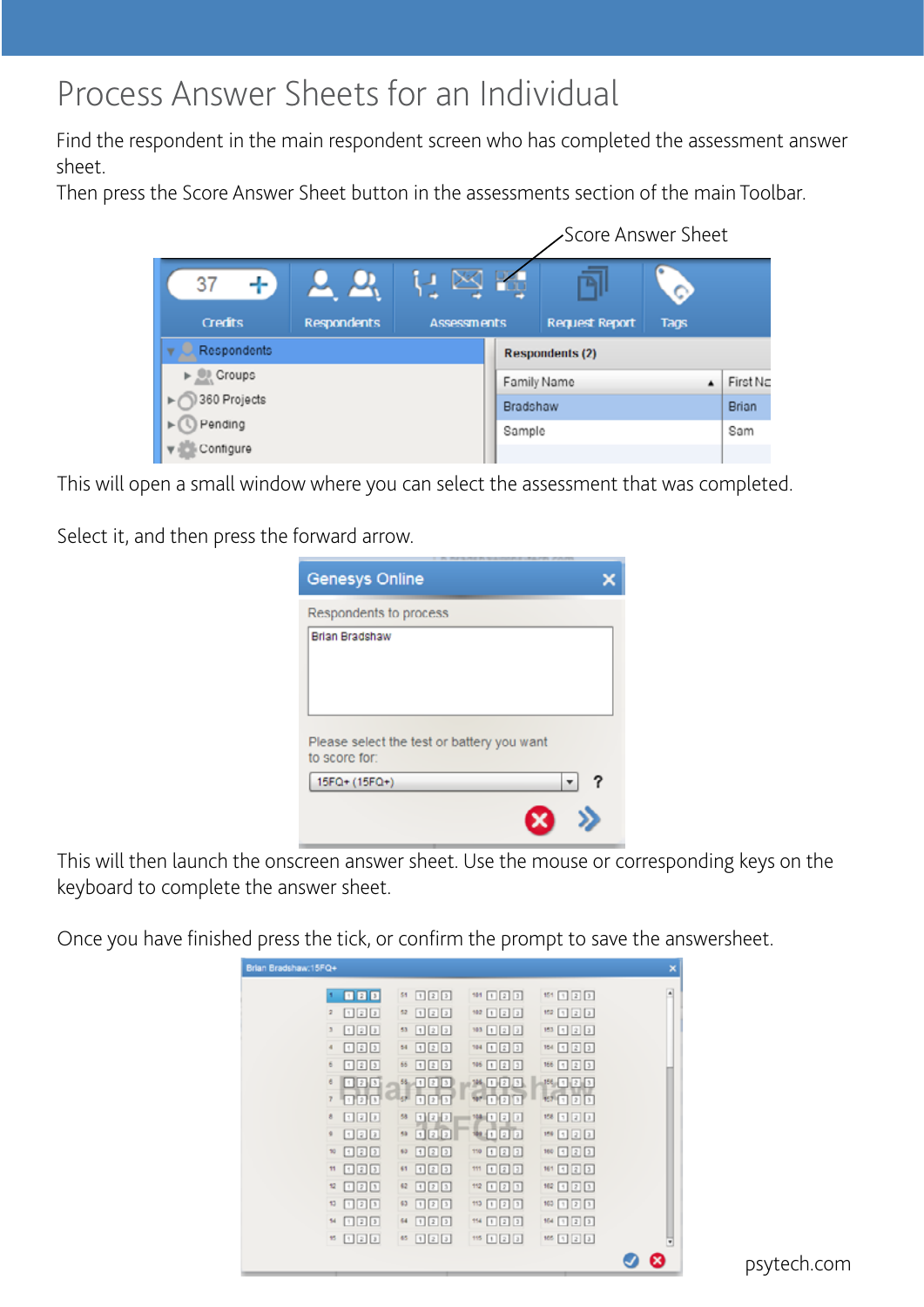### Process Answer Sheets for an Individual

Find the respondent in the main respondent screen who has completed the assessment answer sheet.

Then press the Score Answer Sheet button in the assessments section of the main Toolbar.



This will open a small window where you can select the assessment that was completed.

Select it, and then press the forward arrow.

| <b>Genesys Online</b>                                       |  |
|-------------------------------------------------------------|--|
| Respondents to process                                      |  |
| <b>Brian Bradshaw</b>                                       |  |
| Please select the test or battery you want<br>to score for: |  |
| 15FQ+ (15FQ+)                                               |  |
|                                                             |  |

This will then launch the onscreen answer sheet. Use the mouse or corresponding keys on the keyboard to complete the answer sheet.

Once you have finished press the tick, or confirm the prompt to save the answersheet.

| Brian Bradshaw: 15FQ+                                                                                                                                                                                                                                                                                                                                                                 |                    |                                           |                                                                | × |
|---------------------------------------------------------------------------------------------------------------------------------------------------------------------------------------------------------------------------------------------------------------------------------------------------------------------------------------------------------------------------------------|--------------------|-------------------------------------------|----------------------------------------------------------------|---|
| 日日日<br>٠                                                                                                                                                                                                                                                                                                                                                                              | 回回回<br>51          | $181$ $\boxed{1}$ $\boxed{2}$ $\boxed{3}$ | $151$ 1 2 3                                                    | ٠ |
| 127<br>$\overline{2}$                                                                                                                                                                                                                                                                                                                                                                 | 122<br>52          | $102$ [1] [2] [3]                         | $152$ [1] [2] [3]                                              |   |
| 121<br>$\overline{3}$                                                                                                                                                                                                                                                                                                                                                                 | 122<br>53          | 122<br>103                                | $153$ $\left[ 1 \right]$ $\left[ 2 \right]$ $\left[ 3 \right]$ |   |
| 727<br>$\overline{a}$                                                                                                                                                                                                                                                                                                                                                                 | 125<br>54          | 国国国<br>704                                | 122<br>154                                                     |   |
| 723<br>6                                                                                                                                                                                                                                                                                                                                                                              | 125<br>66          | 123<br>106                                | 123<br>166                                                     |   |
| 123<br>e                                                                                                                                                                                                                                                                                                                                                                              | $-1$ $2$ $3$<br>54 | $\frac{1}{2}$<br>196.                     | $156 - 12$ 3                                                   |   |
| 日日日<br>y                                                                                                                                                                                                                                                                                                                                                                              | الوي<br>123        | 11213                                     | $127 - 7 - 3$                                                  |   |
| 日記回<br>8                                                                                                                                                                                                                                                                                                                                                                              | 58<br>비리키          | 00<br>104                                 | 158 [1] [2] [3]                                                |   |
| 国国国<br>¢                                                                                                                                                                                                                                                                                                                                                                              | 53<br>122          | 122                                       | 159 日2日                                                        |   |
| 回回回<br>70                                                                                                                                                                                                                                                                                                                                                                             | 回回回<br>60          | 国国国<br>110                                | 国国国<br>160                                                     |   |
| 回回回<br>$\mathbf{H}$                                                                                                                                                                                                                                                                                                                                                                   | 国国国<br>61          | 回回回<br>111                                | 161 国国国                                                        |   |
| 回回回<br>$\mathfrak{m}$                                                                                                                                                                                                                                                                                                                                                                 | 回回回<br>62          | 回回回<br>112                                | $162$ $\boxed{1}$ $\boxed{2}$ $\boxed{3}$                      |   |
| $\begin{array}{ c c c c }\hline \rule{0pt}{16pt} \rule{0pt}{2.5pt} \rule{0pt}{2.5pt} \rule{0pt}{2.5pt} \rule{0pt}{2.5pt} \rule{0pt}{2.5pt} \rule{0pt}{2.5pt} \rule{0pt}{2.5pt} \rule{0pt}{2.5pt} \rule{0pt}{2.5pt} \rule{0pt}{2.5pt} \rule{0pt}{2.5pt} \rule{0pt}{2.5pt} \rule{0pt}{2.5pt} \rule{0pt}{2.5pt} \rule{0pt}{2.5pt} \rule{0pt}{2.5pt} \rule{0pt}{2.5pt} \rule{0pt}{$<br>13 | 721<br>63          | 回回回<br>113                                | $100$ $23$                                                     |   |
| 回回回<br>14                                                                                                                                                                                                                                                                                                                                                                             | 回回回<br>64          | 回回回<br>154                                | $164$ [1] [2] [3]                                              |   |
| 121<br>45                                                                                                                                                                                                                                                                                                                                                                             | 122<br>65          | 国国国<br>115                                | 165 $\boxed{1}$ $\boxed{2}$ $\boxed{3}$                        | ν |
|                                                                                                                                                                                                                                                                                                                                                                                       |                    |                                           |                                                                | ⊠ |
|                                                                                                                                                                                                                                                                                                                                                                                       |                    |                                           |                                                                |   |

psytech.com